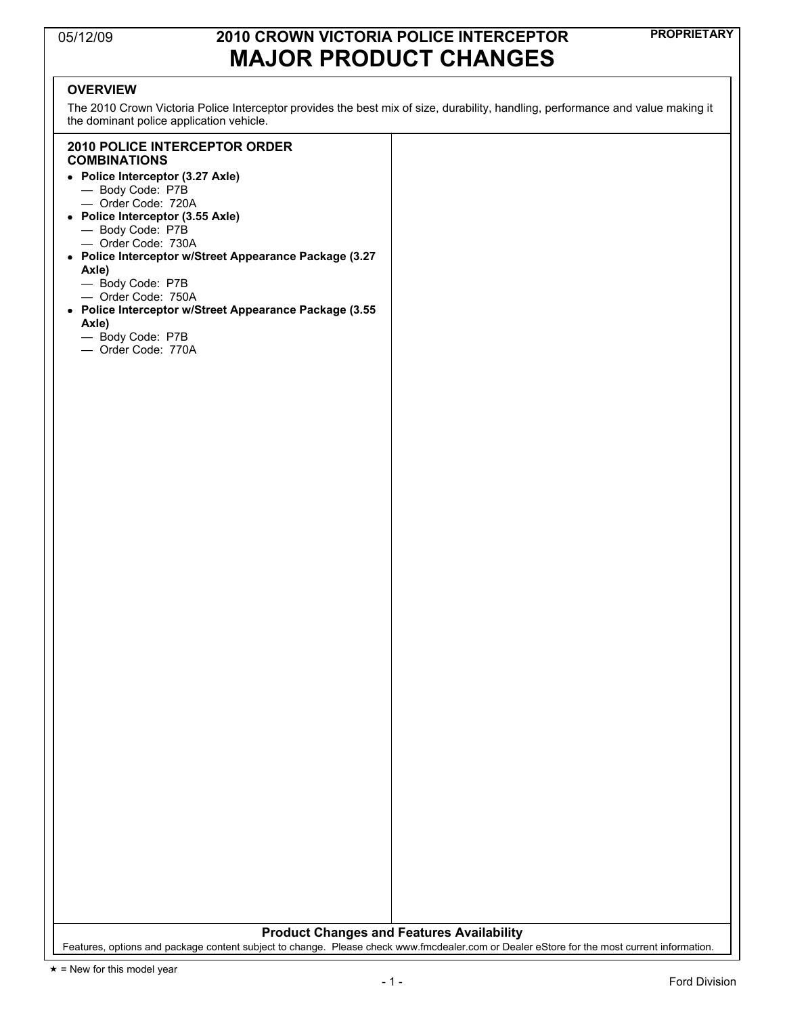### **PROPRIETARY** 05/12/09 **2010 CROWN VICTORIA POLICE INTERCEPTOR MAJOR PRODUCT CHANGES**

#### **OVERVIEW**

The 2010 Crown Victoria Police Interceptor provides the best mix of size, durability, handling, performance and value making it the dominant police application vehicle.

#### **2010 POLICE INTERCEPTOR ORDER COMBINATIONS**

- !" **Police Interceptor (3.27 Axle)** 
	- Body Code: P7B
	- Order Code: 720A
- !" **Police Interceptor (3.55 Axle)** 
	- Body Code: P7B
	- Order Code: 730A
- !" **Police Interceptor w/Street Appearance Package (3.27 Axle)** 
	-
	- Body Code: P7B — Order Code: 750A
- !" **Police Interceptor w/Street Appearance Package (3.55 Axle)** 
	- Body Code: P7B
	- Order Code: 770A

**Product Changes and Features Availability** 

Features, options and package content subject to change. Please check www.fmcdealer.com or Dealer eStore for the most current information.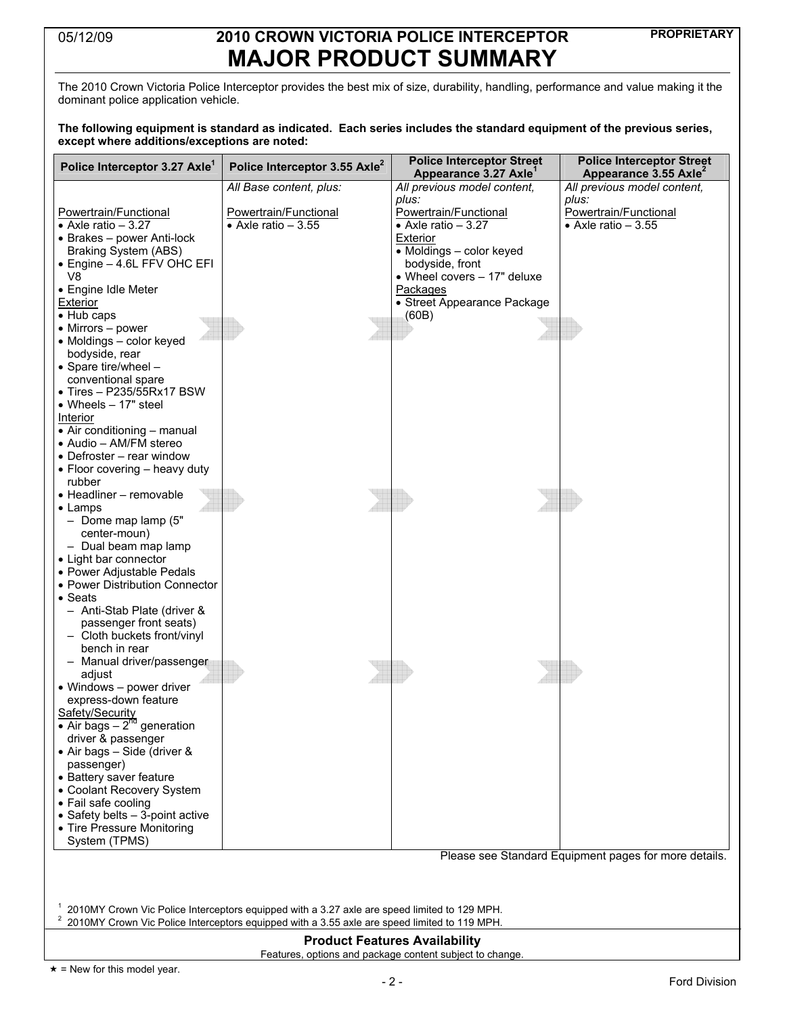# **PROPRIETARY** 05/12/09 **2010 CROWN VICTORIA POLICE INTERCEPTOR MAJOR PRODUCT SUMMARY**

The 2010 Crown Victoria Police Interceptor provides the best mix of size, durability, handling, performance and value making it the dominant police application vehicle.

#### **The following equipment is standard as indicated. Each series includes the standard equipment of the previous series, except where additions/exceptions are noted:**

| All previous model content,<br>All previous model content,<br>All Base content, plus:<br>plus:<br>plus:<br>Powertrain/Functional<br>Powertrain/Functional<br><b>Powertrain/Functional</b><br>Powertrain/Functional<br>• Axle ratio $-3.\overline{27}$<br>• Axle ratio $-3.\overline{55}$<br>$\bullet$ Axle ratio - 3.55<br>• Axle ratio $-3.27$<br>• Brakes – power Anti-lock<br>Exterior<br>• Moldings - color keyed<br>Braking System (ABS)<br>• Engine - 4.6L FFV OHC EFI<br>bodyside, front<br>V <sub>8</sub><br>• Wheel covers - 17" deluxe<br>• Engine Idle Meter<br>Packages<br>• Street Appearance Package<br>(60B)<br>bodyside, rear<br>• Spare tire/wheel -<br>conventional spare<br>$\bullet$ Tires - P235/55Rx17 BSW<br>• Wheels $-17"$ steel<br>Interior<br>• Air conditioning – manual<br>• Audio - AM/FM stereo<br>• Defroster – rear window<br>• Floor covering - heavy duty<br>rubber<br>- Dome map lamp (5"<br>center-moun)<br>- Dual beam map lamp<br>• Light bar connector<br>• Power Adjustable Pedals<br>• Power Distribution Connector<br>• Seats<br>- Anti-Stab Plate (driver &<br>passenger front seats)<br>- Cloth buckets front/vinyl<br>bench in rear<br>- Manual driver/passenger<br>adjust<br>• Windows - power driver<br>express-down feature<br>Safety/Security<br>• Air bags – $2^{nd}$ generation<br>driver & passenger<br>• Air bags - Side (driver &<br>passenger)<br>• Battery saver feature<br>• Coolant Recovery System<br>System (TPMS)<br>Please see Standard Equipment pages for more details.<br>2010MY Crown Vic Police Interceptors equipped with a 3.27 axle are speed limited to 129 MPH.<br>2010MY Crown Vic Police Interceptors equipped with a 3.55 axle are speed limited to 119 MPH.<br><b>Product Features Availability</b> | Police Interceptor 3.27 Axle <sup>1</sup> | Police Interceptor 3.55 Axle <sup>2</sup> | <b>Police Interceptor Street</b><br>Appearance 3.27 Axle <sup>1</sup> | <b>Police Interceptor Street</b><br>Appearance 3.55 Axle <sup>2</sup> |  |  |  |
|----------------------------------------------------------------------------------------------------------------------------------------------------------------------------------------------------------------------------------------------------------------------------------------------------------------------------------------------------------------------------------------------------------------------------------------------------------------------------------------------------------------------------------------------------------------------------------------------------------------------------------------------------------------------------------------------------------------------------------------------------------------------------------------------------------------------------------------------------------------------------------------------------------------------------------------------------------------------------------------------------------------------------------------------------------------------------------------------------------------------------------------------------------------------------------------------------------------------------------------------------------------------------------------------------------------------------------------------------------------------------------------------------------------------------------------------------------------------------------------------------------------------------------------------------------------------------------------------------------------------------------------------------------------------------------------------------------------------------------------------------------------------------------|-------------------------------------------|-------------------------------------------|-----------------------------------------------------------------------|-----------------------------------------------------------------------|--|--|--|
|                                                                                                                                                                                                                                                                                                                                                                                                                                                                                                                                                                                                                                                                                                                                                                                                                                                                                                                                                                                                                                                                                                                                                                                                                                                                                                                                                                                                                                                                                                                                                                                                                                                                                                                                                                                  |                                           |                                           |                                                                       |                                                                       |  |  |  |
|                                                                                                                                                                                                                                                                                                                                                                                                                                                                                                                                                                                                                                                                                                                                                                                                                                                                                                                                                                                                                                                                                                                                                                                                                                                                                                                                                                                                                                                                                                                                                                                                                                                                                                                                                                                  |                                           |                                           |                                                                       |                                                                       |  |  |  |
|                                                                                                                                                                                                                                                                                                                                                                                                                                                                                                                                                                                                                                                                                                                                                                                                                                                                                                                                                                                                                                                                                                                                                                                                                                                                                                                                                                                                                                                                                                                                                                                                                                                                                                                                                                                  |                                           |                                           |                                                                       |                                                                       |  |  |  |
|                                                                                                                                                                                                                                                                                                                                                                                                                                                                                                                                                                                                                                                                                                                                                                                                                                                                                                                                                                                                                                                                                                                                                                                                                                                                                                                                                                                                                                                                                                                                                                                                                                                                                                                                                                                  |                                           |                                           |                                                                       |                                                                       |  |  |  |
|                                                                                                                                                                                                                                                                                                                                                                                                                                                                                                                                                                                                                                                                                                                                                                                                                                                                                                                                                                                                                                                                                                                                                                                                                                                                                                                                                                                                                                                                                                                                                                                                                                                                                                                                                                                  |                                           |                                           |                                                                       |                                                                       |  |  |  |
|                                                                                                                                                                                                                                                                                                                                                                                                                                                                                                                                                                                                                                                                                                                                                                                                                                                                                                                                                                                                                                                                                                                                                                                                                                                                                                                                                                                                                                                                                                                                                                                                                                                                                                                                                                                  |                                           |                                           |                                                                       |                                                                       |  |  |  |
|                                                                                                                                                                                                                                                                                                                                                                                                                                                                                                                                                                                                                                                                                                                                                                                                                                                                                                                                                                                                                                                                                                                                                                                                                                                                                                                                                                                                                                                                                                                                                                                                                                                                                                                                                                                  |                                           |                                           |                                                                       |                                                                       |  |  |  |
|                                                                                                                                                                                                                                                                                                                                                                                                                                                                                                                                                                                                                                                                                                                                                                                                                                                                                                                                                                                                                                                                                                                                                                                                                                                                                                                                                                                                                                                                                                                                                                                                                                                                                                                                                                                  |                                           |                                           |                                                                       |                                                                       |  |  |  |
|                                                                                                                                                                                                                                                                                                                                                                                                                                                                                                                                                                                                                                                                                                                                                                                                                                                                                                                                                                                                                                                                                                                                                                                                                                                                                                                                                                                                                                                                                                                                                                                                                                                                                                                                                                                  | Exterior                                  |                                           |                                                                       |                                                                       |  |  |  |
|                                                                                                                                                                                                                                                                                                                                                                                                                                                                                                                                                                                                                                                                                                                                                                                                                                                                                                                                                                                                                                                                                                                                                                                                                                                                                                                                                                                                                                                                                                                                                                                                                                                                                                                                                                                  | • Hub caps                                |                                           |                                                                       |                                                                       |  |  |  |
|                                                                                                                                                                                                                                                                                                                                                                                                                                                                                                                                                                                                                                                                                                                                                                                                                                                                                                                                                                                                                                                                                                                                                                                                                                                                                                                                                                                                                                                                                                                                                                                                                                                                                                                                                                                  | $\bullet$ Mirrors – power                 |                                           |                                                                       |                                                                       |  |  |  |
|                                                                                                                                                                                                                                                                                                                                                                                                                                                                                                                                                                                                                                                                                                                                                                                                                                                                                                                                                                                                                                                                                                                                                                                                                                                                                                                                                                                                                                                                                                                                                                                                                                                                                                                                                                                  | • Moldings - color keyed                  |                                           |                                                                       |                                                                       |  |  |  |
|                                                                                                                                                                                                                                                                                                                                                                                                                                                                                                                                                                                                                                                                                                                                                                                                                                                                                                                                                                                                                                                                                                                                                                                                                                                                                                                                                                                                                                                                                                                                                                                                                                                                                                                                                                                  |                                           |                                           |                                                                       |                                                                       |  |  |  |
|                                                                                                                                                                                                                                                                                                                                                                                                                                                                                                                                                                                                                                                                                                                                                                                                                                                                                                                                                                                                                                                                                                                                                                                                                                                                                                                                                                                                                                                                                                                                                                                                                                                                                                                                                                                  |                                           |                                           |                                                                       |                                                                       |  |  |  |
|                                                                                                                                                                                                                                                                                                                                                                                                                                                                                                                                                                                                                                                                                                                                                                                                                                                                                                                                                                                                                                                                                                                                                                                                                                                                                                                                                                                                                                                                                                                                                                                                                                                                                                                                                                                  |                                           |                                           |                                                                       |                                                                       |  |  |  |
|                                                                                                                                                                                                                                                                                                                                                                                                                                                                                                                                                                                                                                                                                                                                                                                                                                                                                                                                                                                                                                                                                                                                                                                                                                                                                                                                                                                                                                                                                                                                                                                                                                                                                                                                                                                  |                                           |                                           |                                                                       |                                                                       |  |  |  |
|                                                                                                                                                                                                                                                                                                                                                                                                                                                                                                                                                                                                                                                                                                                                                                                                                                                                                                                                                                                                                                                                                                                                                                                                                                                                                                                                                                                                                                                                                                                                                                                                                                                                                                                                                                                  |                                           |                                           |                                                                       |                                                                       |  |  |  |
|                                                                                                                                                                                                                                                                                                                                                                                                                                                                                                                                                                                                                                                                                                                                                                                                                                                                                                                                                                                                                                                                                                                                                                                                                                                                                                                                                                                                                                                                                                                                                                                                                                                                                                                                                                                  |                                           |                                           |                                                                       |                                                                       |  |  |  |
|                                                                                                                                                                                                                                                                                                                                                                                                                                                                                                                                                                                                                                                                                                                                                                                                                                                                                                                                                                                                                                                                                                                                                                                                                                                                                                                                                                                                                                                                                                                                                                                                                                                                                                                                                                                  |                                           |                                           |                                                                       |                                                                       |  |  |  |
|                                                                                                                                                                                                                                                                                                                                                                                                                                                                                                                                                                                                                                                                                                                                                                                                                                                                                                                                                                                                                                                                                                                                                                                                                                                                                                                                                                                                                                                                                                                                                                                                                                                                                                                                                                                  |                                           |                                           |                                                                       |                                                                       |  |  |  |
|                                                                                                                                                                                                                                                                                                                                                                                                                                                                                                                                                                                                                                                                                                                                                                                                                                                                                                                                                                                                                                                                                                                                                                                                                                                                                                                                                                                                                                                                                                                                                                                                                                                                                                                                                                                  |                                           |                                           |                                                                       |                                                                       |  |  |  |
|                                                                                                                                                                                                                                                                                                                                                                                                                                                                                                                                                                                                                                                                                                                                                                                                                                                                                                                                                                                                                                                                                                                                                                                                                                                                                                                                                                                                                                                                                                                                                                                                                                                                                                                                                                                  |                                           |                                           |                                                                       |                                                                       |  |  |  |
|                                                                                                                                                                                                                                                                                                                                                                                                                                                                                                                                                                                                                                                                                                                                                                                                                                                                                                                                                                                                                                                                                                                                                                                                                                                                                                                                                                                                                                                                                                                                                                                                                                                                                                                                                                                  | • Headliner - removable                   |                                           |                                                                       |                                                                       |  |  |  |
|                                                                                                                                                                                                                                                                                                                                                                                                                                                                                                                                                                                                                                                                                                                                                                                                                                                                                                                                                                                                                                                                                                                                                                                                                                                                                                                                                                                                                                                                                                                                                                                                                                                                                                                                                                                  | $\bullet$ Lamps                           |                                           |                                                                       |                                                                       |  |  |  |
|                                                                                                                                                                                                                                                                                                                                                                                                                                                                                                                                                                                                                                                                                                                                                                                                                                                                                                                                                                                                                                                                                                                                                                                                                                                                                                                                                                                                                                                                                                                                                                                                                                                                                                                                                                                  |                                           |                                           |                                                                       |                                                                       |  |  |  |
|                                                                                                                                                                                                                                                                                                                                                                                                                                                                                                                                                                                                                                                                                                                                                                                                                                                                                                                                                                                                                                                                                                                                                                                                                                                                                                                                                                                                                                                                                                                                                                                                                                                                                                                                                                                  |                                           |                                           |                                                                       |                                                                       |  |  |  |
|                                                                                                                                                                                                                                                                                                                                                                                                                                                                                                                                                                                                                                                                                                                                                                                                                                                                                                                                                                                                                                                                                                                                                                                                                                                                                                                                                                                                                                                                                                                                                                                                                                                                                                                                                                                  |                                           |                                           |                                                                       |                                                                       |  |  |  |
|                                                                                                                                                                                                                                                                                                                                                                                                                                                                                                                                                                                                                                                                                                                                                                                                                                                                                                                                                                                                                                                                                                                                                                                                                                                                                                                                                                                                                                                                                                                                                                                                                                                                                                                                                                                  |                                           |                                           |                                                                       |                                                                       |  |  |  |
|                                                                                                                                                                                                                                                                                                                                                                                                                                                                                                                                                                                                                                                                                                                                                                                                                                                                                                                                                                                                                                                                                                                                                                                                                                                                                                                                                                                                                                                                                                                                                                                                                                                                                                                                                                                  |                                           |                                           |                                                                       |                                                                       |  |  |  |
|                                                                                                                                                                                                                                                                                                                                                                                                                                                                                                                                                                                                                                                                                                                                                                                                                                                                                                                                                                                                                                                                                                                                                                                                                                                                                                                                                                                                                                                                                                                                                                                                                                                                                                                                                                                  |                                           |                                           |                                                                       |                                                                       |  |  |  |
|                                                                                                                                                                                                                                                                                                                                                                                                                                                                                                                                                                                                                                                                                                                                                                                                                                                                                                                                                                                                                                                                                                                                                                                                                                                                                                                                                                                                                                                                                                                                                                                                                                                                                                                                                                                  |                                           |                                           |                                                                       |                                                                       |  |  |  |
|                                                                                                                                                                                                                                                                                                                                                                                                                                                                                                                                                                                                                                                                                                                                                                                                                                                                                                                                                                                                                                                                                                                                                                                                                                                                                                                                                                                                                                                                                                                                                                                                                                                                                                                                                                                  |                                           |                                           |                                                                       |                                                                       |  |  |  |
|                                                                                                                                                                                                                                                                                                                                                                                                                                                                                                                                                                                                                                                                                                                                                                                                                                                                                                                                                                                                                                                                                                                                                                                                                                                                                                                                                                                                                                                                                                                                                                                                                                                                                                                                                                                  |                                           |                                           |                                                                       |                                                                       |  |  |  |
|                                                                                                                                                                                                                                                                                                                                                                                                                                                                                                                                                                                                                                                                                                                                                                                                                                                                                                                                                                                                                                                                                                                                                                                                                                                                                                                                                                                                                                                                                                                                                                                                                                                                                                                                                                                  |                                           |                                           |                                                                       |                                                                       |  |  |  |
|                                                                                                                                                                                                                                                                                                                                                                                                                                                                                                                                                                                                                                                                                                                                                                                                                                                                                                                                                                                                                                                                                                                                                                                                                                                                                                                                                                                                                                                                                                                                                                                                                                                                                                                                                                                  |                                           |                                           |                                                                       |                                                                       |  |  |  |
|                                                                                                                                                                                                                                                                                                                                                                                                                                                                                                                                                                                                                                                                                                                                                                                                                                                                                                                                                                                                                                                                                                                                                                                                                                                                                                                                                                                                                                                                                                                                                                                                                                                                                                                                                                                  |                                           |                                           |                                                                       |                                                                       |  |  |  |
|                                                                                                                                                                                                                                                                                                                                                                                                                                                                                                                                                                                                                                                                                                                                                                                                                                                                                                                                                                                                                                                                                                                                                                                                                                                                                                                                                                                                                                                                                                                                                                                                                                                                                                                                                                                  |                                           |                                           |                                                                       |                                                                       |  |  |  |
|                                                                                                                                                                                                                                                                                                                                                                                                                                                                                                                                                                                                                                                                                                                                                                                                                                                                                                                                                                                                                                                                                                                                                                                                                                                                                                                                                                                                                                                                                                                                                                                                                                                                                                                                                                                  |                                           |                                           |                                                                       |                                                                       |  |  |  |
|                                                                                                                                                                                                                                                                                                                                                                                                                                                                                                                                                                                                                                                                                                                                                                                                                                                                                                                                                                                                                                                                                                                                                                                                                                                                                                                                                                                                                                                                                                                                                                                                                                                                                                                                                                                  |                                           |                                           |                                                                       |                                                                       |  |  |  |
|                                                                                                                                                                                                                                                                                                                                                                                                                                                                                                                                                                                                                                                                                                                                                                                                                                                                                                                                                                                                                                                                                                                                                                                                                                                                                                                                                                                                                                                                                                                                                                                                                                                                                                                                                                                  |                                           |                                           |                                                                       |                                                                       |  |  |  |
|                                                                                                                                                                                                                                                                                                                                                                                                                                                                                                                                                                                                                                                                                                                                                                                                                                                                                                                                                                                                                                                                                                                                                                                                                                                                                                                                                                                                                                                                                                                                                                                                                                                                                                                                                                                  |                                           |                                           |                                                                       |                                                                       |  |  |  |
|                                                                                                                                                                                                                                                                                                                                                                                                                                                                                                                                                                                                                                                                                                                                                                                                                                                                                                                                                                                                                                                                                                                                                                                                                                                                                                                                                                                                                                                                                                                                                                                                                                                                                                                                                                                  |                                           |                                           |                                                                       |                                                                       |  |  |  |
|                                                                                                                                                                                                                                                                                                                                                                                                                                                                                                                                                                                                                                                                                                                                                                                                                                                                                                                                                                                                                                                                                                                                                                                                                                                                                                                                                                                                                                                                                                                                                                                                                                                                                                                                                                                  |                                           |                                           |                                                                       |                                                                       |  |  |  |
|                                                                                                                                                                                                                                                                                                                                                                                                                                                                                                                                                                                                                                                                                                                                                                                                                                                                                                                                                                                                                                                                                                                                                                                                                                                                                                                                                                                                                                                                                                                                                                                                                                                                                                                                                                                  |                                           |                                           |                                                                       |                                                                       |  |  |  |
|                                                                                                                                                                                                                                                                                                                                                                                                                                                                                                                                                                                                                                                                                                                                                                                                                                                                                                                                                                                                                                                                                                                                                                                                                                                                                                                                                                                                                                                                                                                                                                                                                                                                                                                                                                                  | • Fail safe cooling                       |                                           |                                                                       |                                                                       |  |  |  |
|                                                                                                                                                                                                                                                                                                                                                                                                                                                                                                                                                                                                                                                                                                                                                                                                                                                                                                                                                                                                                                                                                                                                                                                                                                                                                                                                                                                                                                                                                                                                                                                                                                                                                                                                                                                  | • Safety belts - 3-point active           |                                           |                                                                       |                                                                       |  |  |  |
|                                                                                                                                                                                                                                                                                                                                                                                                                                                                                                                                                                                                                                                                                                                                                                                                                                                                                                                                                                                                                                                                                                                                                                                                                                                                                                                                                                                                                                                                                                                                                                                                                                                                                                                                                                                  | • Tire Pressure Monitoring                |                                           |                                                                       |                                                                       |  |  |  |
|                                                                                                                                                                                                                                                                                                                                                                                                                                                                                                                                                                                                                                                                                                                                                                                                                                                                                                                                                                                                                                                                                                                                                                                                                                                                                                                                                                                                                                                                                                                                                                                                                                                                                                                                                                                  |                                           |                                           |                                                                       |                                                                       |  |  |  |
|                                                                                                                                                                                                                                                                                                                                                                                                                                                                                                                                                                                                                                                                                                                                                                                                                                                                                                                                                                                                                                                                                                                                                                                                                                                                                                                                                                                                                                                                                                                                                                                                                                                                                                                                                                                  |                                           |                                           |                                                                       |                                                                       |  |  |  |
|                                                                                                                                                                                                                                                                                                                                                                                                                                                                                                                                                                                                                                                                                                                                                                                                                                                                                                                                                                                                                                                                                                                                                                                                                                                                                                                                                                                                                                                                                                                                                                                                                                                                                                                                                                                  |                                           |                                           |                                                                       |                                                                       |  |  |  |
|                                                                                                                                                                                                                                                                                                                                                                                                                                                                                                                                                                                                                                                                                                                                                                                                                                                                                                                                                                                                                                                                                                                                                                                                                                                                                                                                                                                                                                                                                                                                                                                                                                                                                                                                                                                  |                                           |                                           |                                                                       |                                                                       |  |  |  |
|                                                                                                                                                                                                                                                                                                                                                                                                                                                                                                                                                                                                                                                                                                                                                                                                                                                                                                                                                                                                                                                                                                                                                                                                                                                                                                                                                                                                                                                                                                                                                                                                                                                                                                                                                                                  |                                           |                                           |                                                                       |                                                                       |  |  |  |
|                                                                                                                                                                                                                                                                                                                                                                                                                                                                                                                                                                                                                                                                                                                                                                                                                                                                                                                                                                                                                                                                                                                                                                                                                                                                                                                                                                                                                                                                                                                                                                                                                                                                                                                                                                                  | $\overline{\mathbf{c}}$                   |                                           |                                                                       |                                                                       |  |  |  |
|                                                                                                                                                                                                                                                                                                                                                                                                                                                                                                                                                                                                                                                                                                                                                                                                                                                                                                                                                                                                                                                                                                                                                                                                                                                                                                                                                                                                                                                                                                                                                                                                                                                                                                                                                                                  |                                           |                                           |                                                                       |                                                                       |  |  |  |
| Features, options and package content subject to change.                                                                                                                                                                                                                                                                                                                                                                                                                                                                                                                                                                                                                                                                                                                                                                                                                                                                                                                                                                                                                                                                                                                                                                                                                                                                                                                                                                                                                                                                                                                                                                                                                                                                                                                         |                                           |                                           |                                                                       |                                                                       |  |  |  |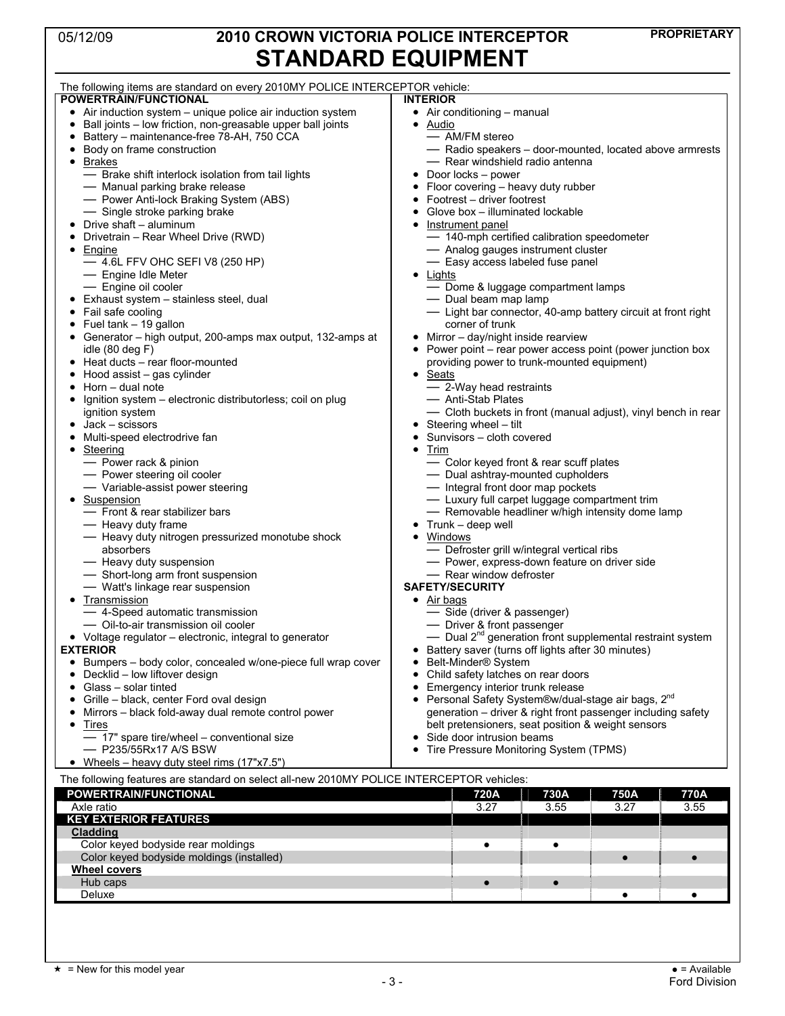# **PROPRIETARY** 05/12/09 **2010 CROWN VICTORIA POLICE INTERCEPTOR**  STANDARD **EQUIPMENT**

| SIANUAKU EQUIPIWEN I                                                                      |                                                                       |  |  |  |  |  |
|-------------------------------------------------------------------------------------------|-----------------------------------------------------------------------|--|--|--|--|--|
| The following items are standard on every 2010MY POLICE INTERCEPTOR vehicle:              |                                                                       |  |  |  |  |  |
| POWERTRAIN/FUNCTIONAL                                                                     | <b>INTERIOR</b>                                                       |  |  |  |  |  |
| Air induction system - unique police air induction system                                 | • Air conditioning - manual                                           |  |  |  |  |  |
| Ball joints - low friction, non-greasable upper ball joints<br>٠                          | • Audio                                                               |  |  |  |  |  |
| Battery - maintenance-free 78-AH, 750 CCA<br>٠                                            | - AM/FM stereo                                                        |  |  |  |  |  |
| Body on frame construction                                                                | - Radio speakers - door-mounted, located above armrests               |  |  |  |  |  |
| <b>Brakes</b><br>$\bullet$                                                                | - Rear windshield radio antenna                                       |  |  |  |  |  |
| - Brake shift interlock isolation from tail lights                                        | $\bullet$ Door locks – power                                          |  |  |  |  |  |
| - Manual parking brake release                                                            | Floor covering – heavy duty rubber                                    |  |  |  |  |  |
|                                                                                           | • Footrest - driver footrest                                          |  |  |  |  |  |
| - Power Anti-lock Braking System (ABS)<br>- Single stroke parking brake                   |                                                                       |  |  |  |  |  |
| Drive shaft - aluminum                                                                    | • Glove box - illuminated lockable                                    |  |  |  |  |  |
|                                                                                           | Instrument panel<br>$\bullet$                                         |  |  |  |  |  |
| Drivetrain - Rear Wheel Drive (RWD)                                                       | - 140-mph certified calibration speedometer                           |  |  |  |  |  |
| Engine                                                                                    | - Analog gauges instrument cluster                                    |  |  |  |  |  |
| $-4.6$ L FFV OHC SEFI V8 (250 HP)                                                         | - Easy access labeled fuse panel                                      |  |  |  |  |  |
| - Engine Idle Meter                                                                       | $\bullet$ Lights                                                      |  |  |  |  |  |
| - Engine oil cooler                                                                       | - Dome & luggage compartment lamps                                    |  |  |  |  |  |
| Exhaust system - stainless steel, dual                                                    | - Dual beam map lamp                                                  |  |  |  |  |  |
| Fail safe cooling                                                                         | - Light bar connector, 40-amp battery circuit at front right          |  |  |  |  |  |
| Fuel tank - 19 gallon                                                                     | corner of trunk                                                       |  |  |  |  |  |
| Generator - high output, 200-amps max output, 132-amps at                                 | • Mirror - day/night inside rearview                                  |  |  |  |  |  |
| idle $(80$ deg $F)$                                                                       | • Power point – rear power access point (power junction box           |  |  |  |  |  |
| Heat ducts – rear floor-mounted                                                           | providing power to trunk-mounted equipment)                           |  |  |  |  |  |
| Hood assist - gas cylinder                                                                | Seats<br>$\bullet$                                                    |  |  |  |  |  |
| Horn - dual note<br>٠                                                                     | - 2-Way head restraints                                               |  |  |  |  |  |
| Ignition system – electronic distributorless; coil on plug                                | - Anti-Stab Plates                                                    |  |  |  |  |  |
| ignition system                                                                           | - Cloth buckets in front (manual adjust), vinyl bench in rear         |  |  |  |  |  |
| Jack – scissors                                                                           | • Steering wheel $-$ tilt                                             |  |  |  |  |  |
|                                                                                           |                                                                       |  |  |  |  |  |
| Multi-speed electrodrive fan                                                              | • Sunvisors - cloth covered                                           |  |  |  |  |  |
| Steering                                                                                  | Trim<br>٠                                                             |  |  |  |  |  |
| - Power rack & pinion                                                                     | - Color keyed front & rear scuff plates                               |  |  |  |  |  |
| - Power steering oil cooler                                                               | - Dual ashtray-mounted cupholders                                     |  |  |  |  |  |
| - Variable-assist power steering                                                          | - Integral front door map pockets                                     |  |  |  |  |  |
| Suspension                                                                                | - Luxury full carpet luggage compartment trim                         |  |  |  |  |  |
| - Front & rear stabilizer bars                                                            | - Removable headliner w/high intensity dome lamp                      |  |  |  |  |  |
| — Heavy duty frame                                                                        | $\bullet$ Trunk - deep well                                           |  |  |  |  |  |
| - Heavy duty nitrogen pressurized monotube shock                                          | • Windows                                                             |  |  |  |  |  |
| absorbers                                                                                 | - Defroster grill w/integral vertical ribs                            |  |  |  |  |  |
| - Heavy duty suspension                                                                   | - Power, express-down feature on driver side                          |  |  |  |  |  |
| - Short-long arm front suspension                                                         | - Rear window defroster                                               |  |  |  |  |  |
| - Watt's linkage rear suspension                                                          | <b>SAFETY/SECURITY</b>                                                |  |  |  |  |  |
| <b>Transmission</b>                                                                       | $\bullet$ Air bags                                                    |  |  |  |  |  |
| - 4-Speed automatic transmission                                                          | - Side (driver & passenger)                                           |  |  |  |  |  |
| - Oil-to-air transmission oil cooler                                                      | - Driver & front passenger                                            |  |  |  |  |  |
| • Voltage regulator – electronic, integral to generator                                   | — Dual 2 <sup>nd</sup> generation front supplemental restraint system |  |  |  |  |  |
| <b>EXTERIOR</b>                                                                           | Battery saver (turns off lights after 30 minutes)                     |  |  |  |  |  |
|                                                                                           | Belt-Minder <sup>®</sup> System                                       |  |  |  |  |  |
| • Bumpers - body color, concealed w/one-piece full wrap cover                             |                                                                       |  |  |  |  |  |
| Decklid - low liftover design                                                             | Child safety latches on rear doors                                    |  |  |  |  |  |
| Glass - solar tinted<br>٠                                                                 | Emergency interior trunk release<br>٠                                 |  |  |  |  |  |
| Grille - black, center Ford oval design                                                   | • Personal Safety System®w/dual-stage air bags, 2 <sup>nd</sup>       |  |  |  |  |  |
| Mirrors – black fold-away dual remote control power                                       | generation - driver & right front passenger including safety          |  |  |  |  |  |
| Tires                                                                                     | belt pretensioners, seat position & weight sensors                    |  |  |  |  |  |
| - 17" spare tire/wheel - conventional size                                                | • Side door intrusion beams                                           |  |  |  |  |  |
| - P235/55Rx17 A/S BSW                                                                     | Tire Pressure Monitoring System (TPMS)                                |  |  |  |  |  |
| Wheels – heavy duty steel rims (17"x7.5")                                                 |                                                                       |  |  |  |  |  |
| The following features are standard on select all-new 2010MY POLICE INTERCEPTOR vehicles: |                                                                       |  |  |  |  |  |
|                                                                                           |                                                                       |  |  |  |  |  |
| POWERTRAIN/FUNCTIONAL                                                                     | 720A<br>730A<br>750A<br>770A                                          |  |  |  |  |  |
| Axle ratio                                                                                | 3.27<br>3.55<br>3.55<br>3.27                                          |  |  |  |  |  |

**KEY EXTERIOR FEATURES** 

**Cladding** 

**Wheel covers**

Color keyed bodyside moldings (installed) ! !

Deluxe ! !

Color keyed bodyside rear moldings **but a set of the color of the color for the color**  $\bullet$  **i** 

Hub caps **and the contract of the contract of the contract of the contract of the contract of the contract of the contract of the contract of the contract of the contract of the contract of the contract of the contract of**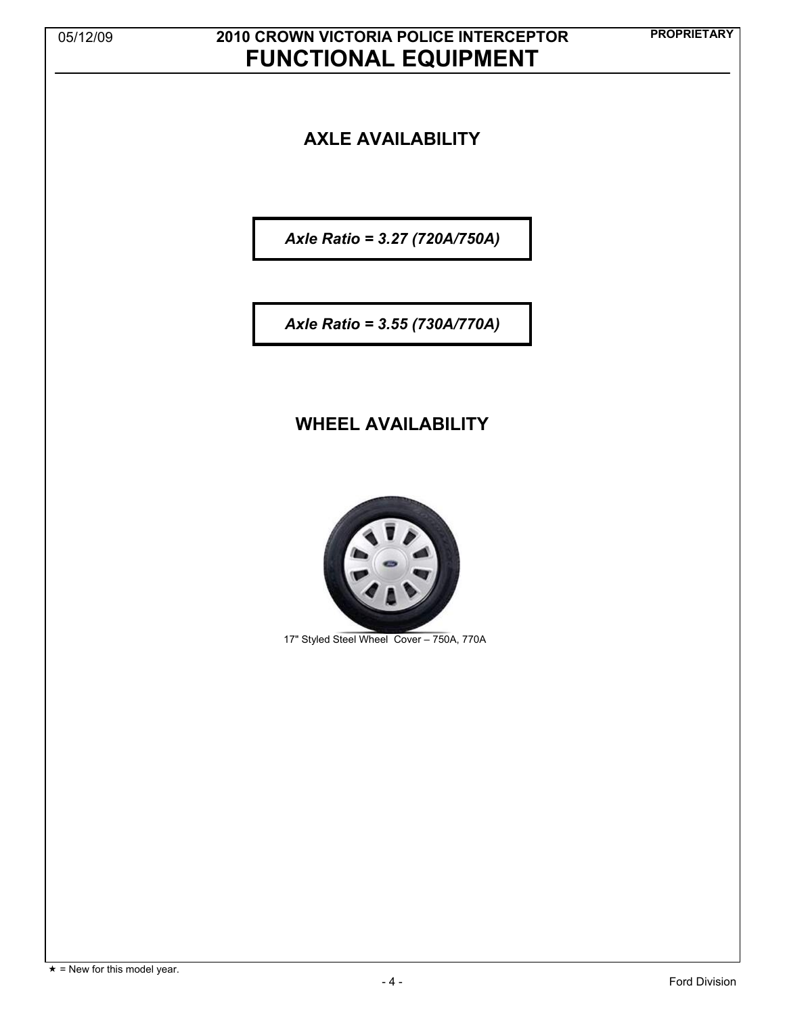# **PROPRIETARY** 05/12/09 **2010 CROWN VICTORIA POLICE INTERCEPTOR FUNCTIONAL EQUIPMENT**

### **AXLE AVAILABILITY**

*Axle Ratio = 3.27 (720A/750A)* 

*Axle Ratio = 3.55 (730A/770A)* 

### **WHEEL AVAILABILITY**



17" Styled Steel Wheel Cover – 750A, 770A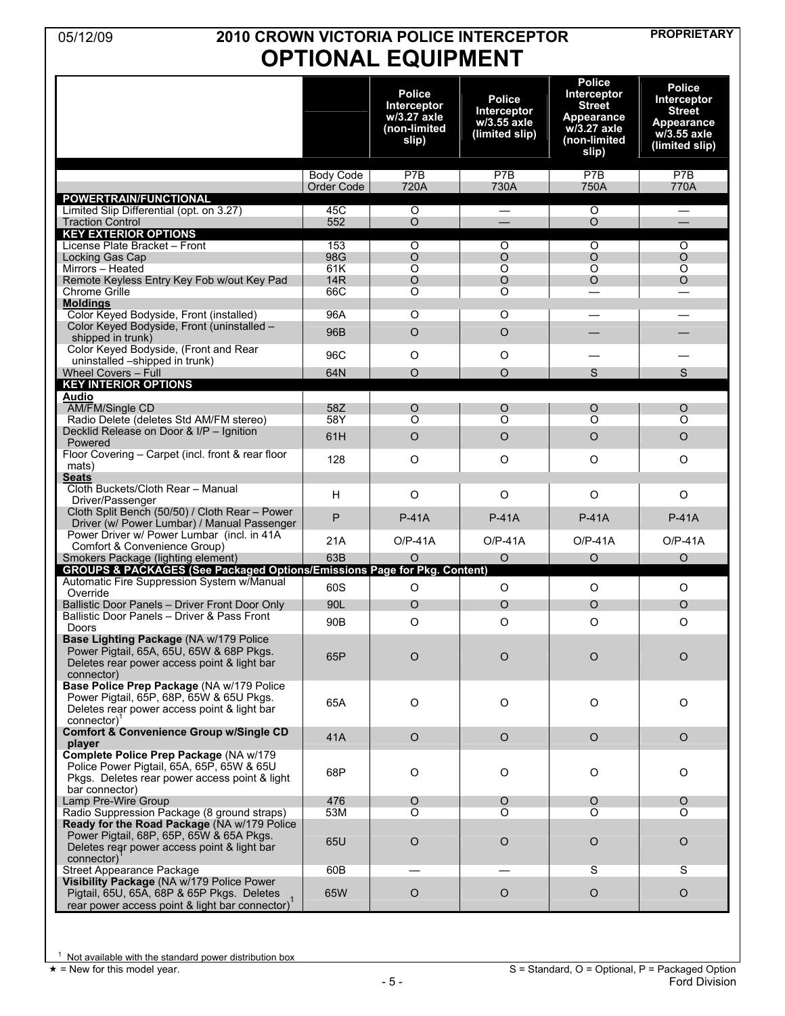## **PROPRIETARY** 05/12/09 **2010 CROWN VICTORIA POLICE INTERCEPTOR OPTIONAL EQUIPMENT**

|                                                                                                                                                        |                                |                                                                      |                                                               | <b>Police</b>                                                                      | <b>Police</b>                                                                 |
|--------------------------------------------------------------------------------------------------------------------------------------------------------|--------------------------------|----------------------------------------------------------------------|---------------------------------------------------------------|------------------------------------------------------------------------------------|-------------------------------------------------------------------------------|
|                                                                                                                                                        |                                | <b>Police</b><br>Interceptor<br>w/3.27 axle<br>(non-limited<br>slip) | <b>Police</b><br>Interceptor<br>w/3.55 axle<br>(limited slip) | Interceptor<br><b>Street</b><br>Appearance<br>w/3.27 axle<br>(non-limited<br>slip) | Interceptor<br><b>Street</b><br>Appearance<br>$w/3.55$ axle<br>(limited slip) |
|                                                                                                                                                        | <b>Body Code</b><br>Order Code | P7B<br>720A                                                          | P7B<br>730A                                                   | P7B<br>750A                                                                        | P7B<br>770A                                                                   |
| <b>POWERTRAIN/FUNCTIONAL</b>                                                                                                                           |                                |                                                                      |                                                               |                                                                                    |                                                                               |
| Limited Slip Differential (opt. on 3.27)                                                                                                               | 45C                            | $\circ$                                                              | $\equiv$                                                      | $\circ$                                                                            | —                                                                             |
| <b>Traction Control</b><br><b>KEY EXTERIOR OPTIONS</b>                                                                                                 | 552                            | $\circ$                                                              |                                                               | $\circ$                                                                            |                                                                               |
| License Plate Bracket - Front                                                                                                                          | 153                            | $\overline{O}$                                                       | $\overline{O}$                                                | Ō                                                                                  | $\overline{O}$                                                                |
| Locking Gas Cap<br>Mirrors - Heated                                                                                                                    | 98G<br>61K                     | $\circ$<br>$\overline{O}$                                            | $\circ$<br>$\overline{O}$                                     | $\circ$<br>$\overline{O}$                                                          | $\circ$<br>$\overline{O}$                                                     |
| Remote Keyless Entry Key Fob w/out Key Pad                                                                                                             | <b>14R</b>                     | $\circ$                                                              | $\circ$                                                       | $\Omega$                                                                           | $\Omega$                                                                      |
| <b>Chrome Grille</b>                                                                                                                                   | 66C                            | O                                                                    | O                                                             |                                                                                    |                                                                               |
| <b>Moldings</b><br>Color Keyed Bodyside, Front (installed)                                                                                             | 96A                            | O                                                                    | O                                                             |                                                                                    |                                                                               |
| Color Keyed Bodyside, Front (uninstalled -<br>shipped in trunk)                                                                                        | 96B                            | $\circ$                                                              | $\circ$                                                       |                                                                                    |                                                                               |
| Color Keyed Bodyside, (Front and Rear                                                                                                                  |                                |                                                                      |                                                               |                                                                                    |                                                                               |
| uninstalled -shipped in trunk)                                                                                                                         | 96C                            | $\circ$                                                              | O                                                             |                                                                                    |                                                                               |
| <b>Wheel Covers - Full</b><br><b>KEY INTERIOR OPTIONS</b>                                                                                              | 64N                            | $\circ$                                                              | $\circ$                                                       | S                                                                                  | S                                                                             |
| <b>Audio</b>                                                                                                                                           |                                |                                                                      |                                                               |                                                                                    |                                                                               |
| AM/FM/Single CD<br>Radio Delete (deletes Std AM/FM stereo)                                                                                             | 58Z<br>58Y                     | $\circ$<br>$\overline{O}$                                            | $\circ$<br>$\overline{O}$                                     | O<br>$\overline{O}$                                                                | $\circ$<br>$\overline{O}$                                                     |
| Decklid Release on Door & I/P - Ignition                                                                                                               |                                |                                                                      |                                                               |                                                                                    |                                                                               |
| Powered                                                                                                                                                | 61H                            | $\circ$                                                              | $\circ$                                                       | $\circ$                                                                            | $\circ$                                                                       |
| Floor Covering - Carpet (incl. front & rear floor<br>mats)                                                                                             | 128                            | $\circ$                                                              | O                                                             | $\circ$                                                                            | O                                                                             |
| <b>Seats</b><br>Cloth Buckets/Cloth Rear - Manual                                                                                                      |                                |                                                                      |                                                               |                                                                                    |                                                                               |
| Driver/Passenger                                                                                                                                       | H                              | $\circ$                                                              | O                                                             | $\circ$                                                                            | $\circ$                                                                       |
| Cloth Split Bench (50/50) / Cloth Rear - Power<br>Driver (w/ Power Lumbar) / Manual Passenger                                                          | $\mathsf{P}$                   | <b>P-41A</b>                                                         | $P-41A$                                                       | $P-41A$                                                                            | $P-41A$                                                                       |
| Power Driver w/ Power Lumbar (incl. in 41A)<br>Comfort & Convenience Group)                                                                            | 21A                            | $O/P-41A$                                                            | $O/P-41A$                                                     | $O/P-41A$                                                                          | $O/P-41A$                                                                     |
| Smokers Package (lighting element)                                                                                                                     | 63B                            | O                                                                    | $\circ$                                                       | $\circ$                                                                            | $\circ$                                                                       |
| <b>GROUPS &amp; PACKAGES (See Packaged Options/Emissions Page for Pkg. Content)</b>                                                                    |                                |                                                                      |                                                               |                                                                                    |                                                                               |
| Automatic Fire Suppression System w/Manual<br>Override                                                                                                 | 60S                            | $\circ$                                                              | $\circ$                                                       | $\circ$                                                                            | $\circ$                                                                       |
| Ballistic Door Panels - Driver Front Door Only                                                                                                         | 90L                            | $\circ$                                                              | $\circ$                                                       | $\circ$                                                                            | $\circ$                                                                       |
| Ballistic Door Panels - Driver & Pass Front<br>Doors                                                                                                   | 90 <sub>B</sub>                | $\circ$                                                              | O                                                             | $\circ$                                                                            | O                                                                             |
| Base Lighting Package (NA w/179 Police<br>Power Pigtail, 65A, 65U, 65W & 68P Pkgs.<br>Deletes rear power access point & light bar<br>connector)        | 65P                            | $\circ$                                                              | $\circ$                                                       | $\circ$                                                                            | $\circ$                                                                       |
| Base Police Prep Package (NA w/179 Police<br>Power Pigtail, 65P, 68P, 65W & 65U Pkgs.<br>Deletes rear power access point & light bar<br>connector)     | 65A                            | $\circ$                                                              | $\circ$                                                       | $\circ$                                                                            | O                                                                             |
| <b>Comfort &amp; Convenience Group w/Single CD</b><br>player                                                                                           | 41A                            | $\circ$                                                              | $\circ$                                                       | $\mathsf O$                                                                        | $\circ$                                                                       |
| Complete Police Prep Package (NA w/179<br>Police Power Pigtail, 65A, 65P, 65W & 65U<br>Pkgs. Deletes rear power access point & light<br>bar connector) | 68P                            | $\circ$                                                              | $\circ$                                                       | $\circ$                                                                            | O                                                                             |
| Lamp Pre-Wire Group                                                                                                                                    | 476                            | $\circ$                                                              | $\circ$                                                       | $\circ$                                                                            | O                                                                             |
| Radio Suppression Package (8 ground straps)                                                                                                            | 53M                            | O                                                                    | O                                                             | O                                                                                  | O                                                                             |
| Ready for the Road Package (NA w/179 Police<br>Power Pigtail, 68P, 65P, 65W & 65A Pkgs.<br>Deletes rear power access point & light bar<br>connector)   | 65U                            | $\circ$                                                              | $\circ$                                                       | $\circ$                                                                            | $\circ$                                                                       |
| Street Appearance Package                                                                                                                              | 60B                            |                                                                      |                                                               | S                                                                                  | S                                                                             |
| Visibility Package (NA w/179 Police Power<br>Pigtail, 65U, 65A, 68P & 65P Pkgs. Deletes<br>rear power access point & light bar connector)              | 65W                            | $\circ$                                                              | $\circ$                                                       | $\circ$                                                                            | $\circ$                                                                       |

<sup>1</sup> Not available with the standard power distribution box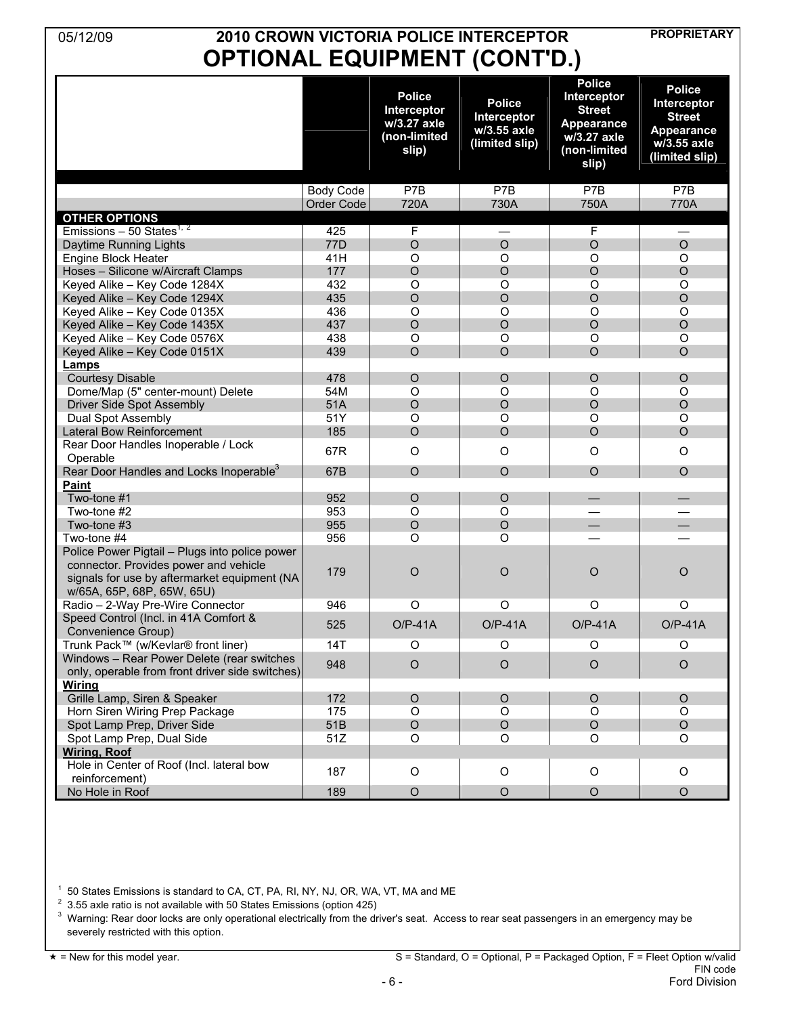## **PROPRIETARY** 05/12/09 **2010 CROWN VICTORIA POLICE INTERCEPTOR OPTIONAL EQUIPMENT (CONT'D.)**

|                                                                                               |                   | <b>Police</b><br>Interceptor<br>w/3.27 axle<br>(non-limited<br>slip) | <b>Police</b><br>Interceptor<br>w/3.55 axle<br>(limited slip) | <b>Police</b><br>Interceptor<br><b>Street</b><br>Appearance<br>w/3.27 axle<br>(non-limited<br>slip) | <b>Police</b><br>Interceptor<br><b>Street</b><br><b>Appearance</b><br>w/3.55 axle<br>(limited slip) |
|-----------------------------------------------------------------------------------------------|-------------------|----------------------------------------------------------------------|---------------------------------------------------------------|-----------------------------------------------------------------------------------------------------|-----------------------------------------------------------------------------------------------------|
|                                                                                               | <b>Body Code</b>  | P7B                                                                  | P7B                                                           | P7B                                                                                                 | P7B                                                                                                 |
|                                                                                               | <b>Order Code</b> | 720A                                                                 | 730A                                                          | 750A                                                                                                | 770A                                                                                                |
| <b>OTHER OPTIONS</b>                                                                          |                   |                                                                      |                                                               |                                                                                                     |                                                                                                     |
| Emissions - 50 States <sup>1, 2</sup>                                                         | 425               | F                                                                    | $\overline{\phantom{0}}$                                      | $\mathsf F$                                                                                         | $\overline{\phantom{0}}$                                                                            |
| Daytime Running Lights                                                                        | 77D               | $\circ$                                                              | $\circ$                                                       | $\circ$                                                                                             | $\circ$                                                                                             |
| Engine Block Heater                                                                           | 41H               | O                                                                    | $\circ$                                                       | O                                                                                                   | O                                                                                                   |
| Hoses - Silicone w/Aircraft Clamps                                                            | 177               | $\circ$                                                              | $\circ$                                                       | $\circ$                                                                                             | $\circ$                                                                                             |
| Keyed Alike - Key Code 1284X                                                                  | 432               | O                                                                    | $\circ$                                                       | O                                                                                                   | $\circ$                                                                                             |
| Keyed Alike - Key Code 1294X                                                                  | 435               | $\circ$                                                              | $\circ$                                                       | $\circ$                                                                                             | $\circ$                                                                                             |
| Keyed Alike - Key Code 0135X                                                                  | 436               | O                                                                    | $\circ$                                                       | $\circ$                                                                                             | O                                                                                                   |
| Keyed Alike - Key Code 1435X                                                                  | 437               | $\circ$                                                              | $\circ$                                                       | $\circ$                                                                                             | $\circ$                                                                                             |
| Keyed Alike - Key Code 0576X                                                                  | 438               | O                                                                    | $\circ$                                                       | O                                                                                                   | $\circ$                                                                                             |
| Keyed Alike - Key Code 0151X                                                                  | 439               | $\Omega$                                                             | $\Omega$                                                      | $\Omega$                                                                                            | $\Omega$                                                                                            |
| Lamps                                                                                         |                   |                                                                      |                                                               |                                                                                                     |                                                                                                     |
| <b>Courtesy Disable</b>                                                                       | 478               | $\circ$                                                              | $\circ$                                                       | $\circ$                                                                                             | $\circ$                                                                                             |
| Dome/Map (5" center-mount) Delete                                                             | 54M               | O                                                                    | $\circ$                                                       | O                                                                                                   | $\circ$                                                                                             |
| Driver Side Spot Assembly                                                                     | 51A               | $\overline{O}$                                                       | $\circ$                                                       | $\overline{O}$                                                                                      | $\circ$                                                                                             |
| Dual Spot Assembly                                                                            | 51Y               | O                                                                    | O                                                             | O                                                                                                   | $\circ$                                                                                             |
| <b>Lateral Bow Reinforcement</b>                                                              | 185               | $\circ$                                                              | $\circ$                                                       | $\circ$                                                                                             | $\circ$                                                                                             |
| Rear Door Handles Inoperable / Lock<br>Operable                                               | 67R               | $\circ$                                                              | $\circ$                                                       | O                                                                                                   | $\circ$                                                                                             |
| Rear Door Handles and Locks Inoperable <sup>3</sup>                                           | 67B               | $\circ$                                                              | $\circ$                                                       | $\circ$                                                                                             | $\circ$                                                                                             |
| <b>Paint</b>                                                                                  |                   |                                                                      |                                                               |                                                                                                     |                                                                                                     |
| Two-tone #1                                                                                   | 952               | O                                                                    | $\circ$                                                       | $\qquad \qquad -$                                                                                   | $\overline{\phantom{0}}$                                                                            |
| Two-tone #2                                                                                   | 953               | O                                                                    | $\circ$                                                       |                                                                                                     |                                                                                                     |
| Two-tone #3                                                                                   | 955               | $\circ$                                                              | $\circ$                                                       | $\overline{\phantom{0}}$                                                                            | $\overline{\phantom{0}}$                                                                            |
| Two-tone #4                                                                                   | 956               | $\Omega$                                                             | $\Omega$                                                      |                                                                                                     |                                                                                                     |
| Police Power Pigtail - Plugs into police power<br>connector. Provides power and vehicle       | 179               | $\circ$                                                              | $\circ$                                                       | $\circ$                                                                                             |                                                                                                     |
| signals for use by aftermarket equipment (NA<br>w/65A, 65P, 68P, 65W, 65U)                    |                   |                                                                      |                                                               |                                                                                                     | $\circ$                                                                                             |
| Radio - 2-Way Pre-Wire Connector                                                              | 946               | O                                                                    | $\circ$                                                       | $\circ$                                                                                             | O                                                                                                   |
| Speed Control (Incl. in 41A Comfort &<br>Convenience Group)                                   | 525               | $O/P-41A$                                                            | $O/P-41A$                                                     | $O/P-41A$                                                                                           | $O/P-41A$                                                                                           |
| Trunk Pack™ (w/Kevlar® front liner)                                                           | 14T               | O                                                                    | O                                                             | O                                                                                                   | O                                                                                                   |
| Windows - Rear Power Delete (rear switches<br>only, operable from front driver side switches) | 948               | $\circ$                                                              | $\circ$                                                       | $\circ$                                                                                             | $\circ$                                                                                             |
| <b>Wiring</b>                                                                                 |                   |                                                                      |                                                               |                                                                                                     |                                                                                                     |
| Grille Lamp, Siren & Speaker                                                                  | 172               | $\circ$                                                              | $\mathsf O$                                                   | O                                                                                                   | $\circ$                                                                                             |
| Horn Siren Wiring Prep Package                                                                | 175               | O                                                                    | $\circ$                                                       | O                                                                                                   | $\circ$                                                                                             |
| Spot Lamp Prep, Driver Side                                                                   | 51B               | $\circ$                                                              | $\mathsf O$                                                   | $\circ$                                                                                             | $\circ$                                                                                             |
| Spot Lamp Prep, Dual Side                                                                     | 51Z               | O                                                                    | O                                                             | O                                                                                                   | O                                                                                                   |
| <b>Wiring, Roof</b>                                                                           |                   |                                                                      |                                                               |                                                                                                     |                                                                                                     |
| Hole in Center of Roof (Incl. lateral bow<br>reinforcement)                                   | 187               | $\mathsf O$                                                          | O                                                             | $\circ$                                                                                             | O                                                                                                   |
| No Hole in Roof                                                                               | 189               | $\circ$                                                              | $\circ$                                                       | $\circ$                                                                                             | $\circ$                                                                                             |

<sup>1</sup> 50 States Emissions is standard to CA, CT, PA, RI, NY, NJ, OR, WA, VT, MA and ME<br> $^{2}$  3.55 ovte ratio is not available with 50 States Emissions (ontion 425)

<sup>2</sup> 3.55 axle ratio is not available with 50 States Emissions (option 425)

<sup>3</sup> Warning: Rear door locks are only operational electrically from the driver's seat. Access to rear seat passengers in an emergency may be severely restricted with this option.

\* = New for this model year. S = Standard, O = Optional, P = Packaged Option, F = Fleet Option w/valid FIN code<br>Ford Division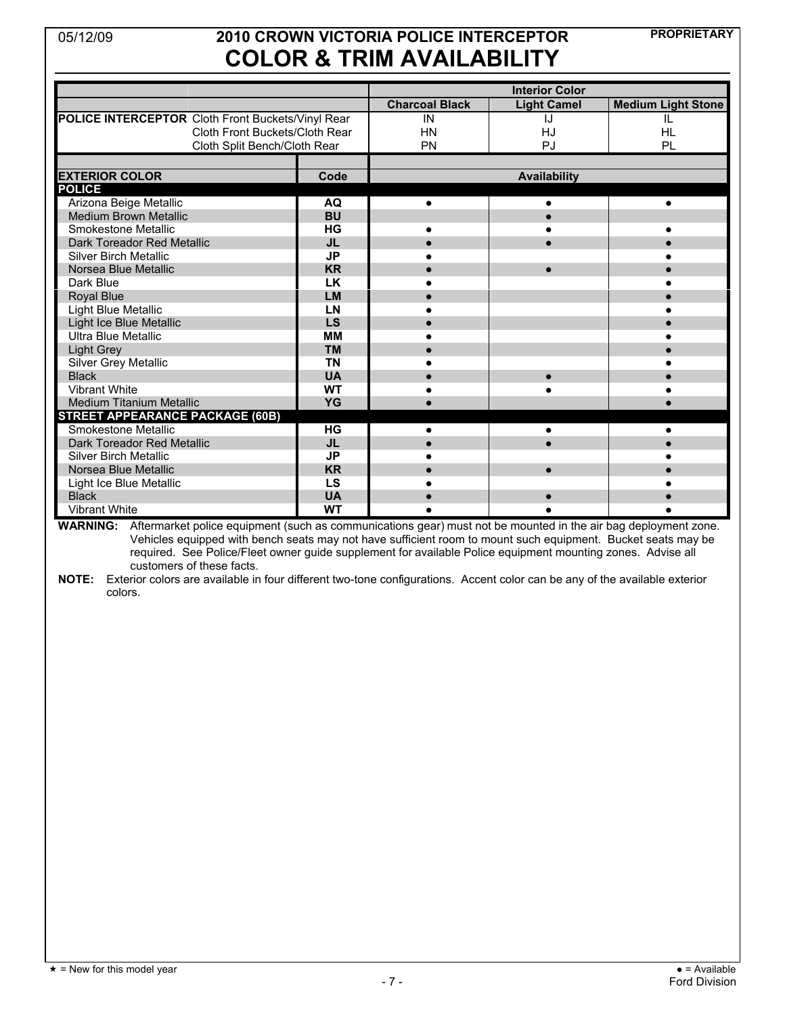# **PROPRIETARY** 05/12/09 **2010 CROWN VICTORIA POLICE INTERCEPTOR COLOR & TRIM AVAILABILITY**

|                                                   |           |                       | <b>Interior Color</b> |                           |
|---------------------------------------------------|-----------|-----------------------|-----------------------|---------------------------|
|                                                   |           | <b>Charcoal Black</b> | <b>Light Camel</b>    | <b>Medium Light Stone</b> |
| POLICE INTERCEPTOR Cloth Front Buckets/Vinyl Rear |           | IN                    | IJ                    | IL                        |
| Cloth Front Buckets/Cloth Rear                    |           | <b>HN</b>             | HJ                    | <b>HL</b>                 |
| Cloth Split Bench/Cloth Rear                      |           | PN                    | PJ                    | PL                        |
|                                                   |           |                       |                       |                           |
| <b>EXTERIOR COLOR</b>                             | Code      | <b>Availability</b>   |                       |                           |
| <b>POLICE</b>                                     |           |                       |                       |                           |
| Arizona Beige Metallic                            | AQ        | $\bullet$             |                       |                           |
| <b>Medium Brown Metallic</b>                      | <b>BU</b> |                       |                       |                           |
| Smokestone Metallic                               | HG        |                       |                       |                           |
| Dark Toreador Red Metallic                        | <b>JL</b> |                       |                       |                           |
| <b>Silver Birch Metallic</b>                      | <b>JP</b> |                       |                       |                           |
| Norsea Blue Metallic                              | <b>KR</b> |                       |                       |                           |
| Dark Blue                                         | <b>LK</b> |                       |                       |                           |
| Royal Blue                                        | <b>LM</b> |                       |                       |                           |
| Light Blue Metallic                               | LN        |                       |                       |                           |
| Light Ice Blue Metallic                           | LS        |                       |                       |                           |
| Ultra Blue Metallic                               | <b>MM</b> |                       |                       |                           |
| Light Grey                                        | <b>TM</b> |                       |                       |                           |
| Silver Grey Metallic                              | <b>TN</b> |                       |                       |                           |
| <b>Black</b>                                      | <b>UA</b> |                       |                       |                           |
| Vibrant White                                     | <b>WT</b> |                       |                       |                           |
| Medium Titanium Metallic                          | YG        |                       |                       |                           |
| <b>STREET APPEARANCE PACKAGE (60B)</b>            |           |                       |                       |                           |
| <b>Smokestone Metallic</b>                        | HG        |                       | $\bullet$             |                           |
| Dark Toreador Red Metallic                        | <b>JL</b> |                       |                       |                           |
| <b>Silver Birch Metallic</b>                      | <b>JP</b> |                       |                       |                           |
| Norsea Blue Metallic                              | <b>KR</b> |                       |                       |                           |
| Light Ice Blue Metallic                           | LS        |                       |                       |                           |
| <b>Black</b>                                      | <b>UA</b> |                       |                       |                           |
| <b>Vibrant White</b>                              | <b>WT</b> |                       |                       |                           |

**WARNING:** Aftermarket police equipment (such as communications gear) must not be mounted in the air bag deployment zone. Vehicles equipped with bench seats may not have sufficient room to mount such equipment. Bucket seats may be required. See Police/Fleet owner guide supplement for available Police equipment mounting zones. Advise all customers of these facts.

**NOTE:** Exterior colors are available in four different two-tone configurations. Accent color can be any of the available exterior colors.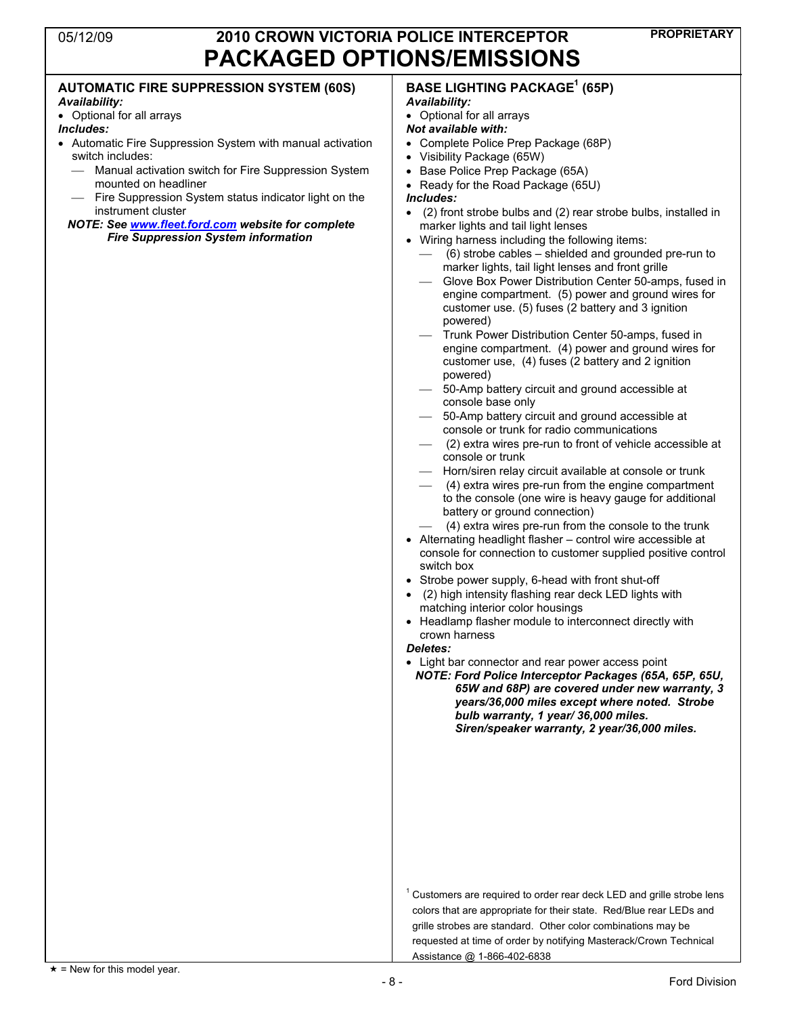| <b>AUTOMATIC FIRE SUPPRESSION SYSTEM (60S)</b><br>Availability:<br>• Optional for all arrays<br>Includes:<br>Automatic Fire Suppression System with manual activation<br>switch includes:<br>- Manual activation switch for Fire Suppression System<br>mounted on headliner<br>Fire Suppression System status indicator light on the<br>instrument cluster<br>NOTE: See www.fleet.ford.com website for complete<br><b>Fire Suppression System information</b> | <b>BASE LIGHTING PACKAGE<sup>1</sup> (65P)</b><br>Availability:<br>• Optional for all arrays<br><b>Not available with:</b><br>• Complete Police Prep Package (68P)<br>• Visibility Package (65W)<br>• Base Police Prep Package (65A)<br>Ready for the Road Package (65U)<br>$\bullet$<br><i><u><b>Includes:</b></u></i><br>• (2) front strobe bulbs and (2) rear strobe bulbs, installed in<br>marker lights and tail light lenses<br>• Wiring harness including the following items:<br>(6) strobe cables – shielded and grounded pre-run to<br>marker lights, tail light lenses and front grille<br>Glove Box Power Distribution Center 50-amps, fused in<br>engine compartment. (5) power and ground wires for<br>customer use. (5) fuses (2 battery and 3 ignition<br>powered)<br>Trunk Power Distribution Center 50-amps, fused in<br>engine compartment. (4) power and ground wires for<br>customer use, (4) fuses (2 battery and 2 ignition<br>powered)<br>50-Amp battery circuit and ground accessible at<br>console base only<br>50-Amp battery circuit and ground accessible at<br>console or trunk for radio communications<br>(2) extra wires pre-run to front of vehicle accessible at<br>console or trunk<br>- Horn/siren relay circuit available at console or trunk<br>(4) extra wires pre-run from the engine compartment<br>to the console (one wire is heavy gauge for additional<br>battery or ground connection)<br>(4) extra wires pre-run from the console to the trunk<br>• Alternating headlight flasher - control wire accessible at<br>console for connection to customer supplied positive control<br>switch box<br>• Strobe power supply, 6-head with front shut-off<br>(2) high intensity flashing rear deck LED lights with<br>matching interior color housings<br>Headlamp flasher module to interconnect directly with<br>crown harness<br>Deletes:<br>• Light bar connector and rear power access point<br>NOTE: Ford Police Interceptor Packages (65A, 65P, 65U,<br>65W and 68P) are covered under new warranty, 3<br>years/36,000 miles except where noted. Strobe<br>bulb warranty, 1 year/ 36,000 miles.<br>Siren/speaker warranty, 2 year/36,000 miles. |
|---------------------------------------------------------------------------------------------------------------------------------------------------------------------------------------------------------------------------------------------------------------------------------------------------------------------------------------------------------------------------------------------------------------------------------------------------------------|------------------------------------------------------------------------------------------------------------------------------------------------------------------------------------------------------------------------------------------------------------------------------------------------------------------------------------------------------------------------------------------------------------------------------------------------------------------------------------------------------------------------------------------------------------------------------------------------------------------------------------------------------------------------------------------------------------------------------------------------------------------------------------------------------------------------------------------------------------------------------------------------------------------------------------------------------------------------------------------------------------------------------------------------------------------------------------------------------------------------------------------------------------------------------------------------------------------------------------------------------------------------------------------------------------------------------------------------------------------------------------------------------------------------------------------------------------------------------------------------------------------------------------------------------------------------------------------------------------------------------------------------------------------------------------------------------------------------------------------------------------------------------------------------------------------------------------------------------------------------------------------------------------------------------------------------------------------------------------------------------------------------------------------------------------------------------------------------------------------------------------------------------------------------------------------------|
|                                                                                                                                                                                                                                                                                                                                                                                                                                                               | <sup>1</sup> Customers are required to order rear deck LED and grille strobe lens<br>colors that are appropriate for their state. Red/Blue rear LEDs and<br>grille strobes are standard. Other color combinations may be<br>requested at time of order by notifying Masterack/Crown Technical                                                                                                                                                                                                                                                                                                                                                                                                                                                                                                                                                                                                                                                                                                                                                                                                                                                                                                                                                                                                                                                                                                                                                                                                                                                                                                                                                                                                                                                                                                                                                                                                                                                                                                                                                                                                                                                                                                  |

Assistance @ 1-866-402-6838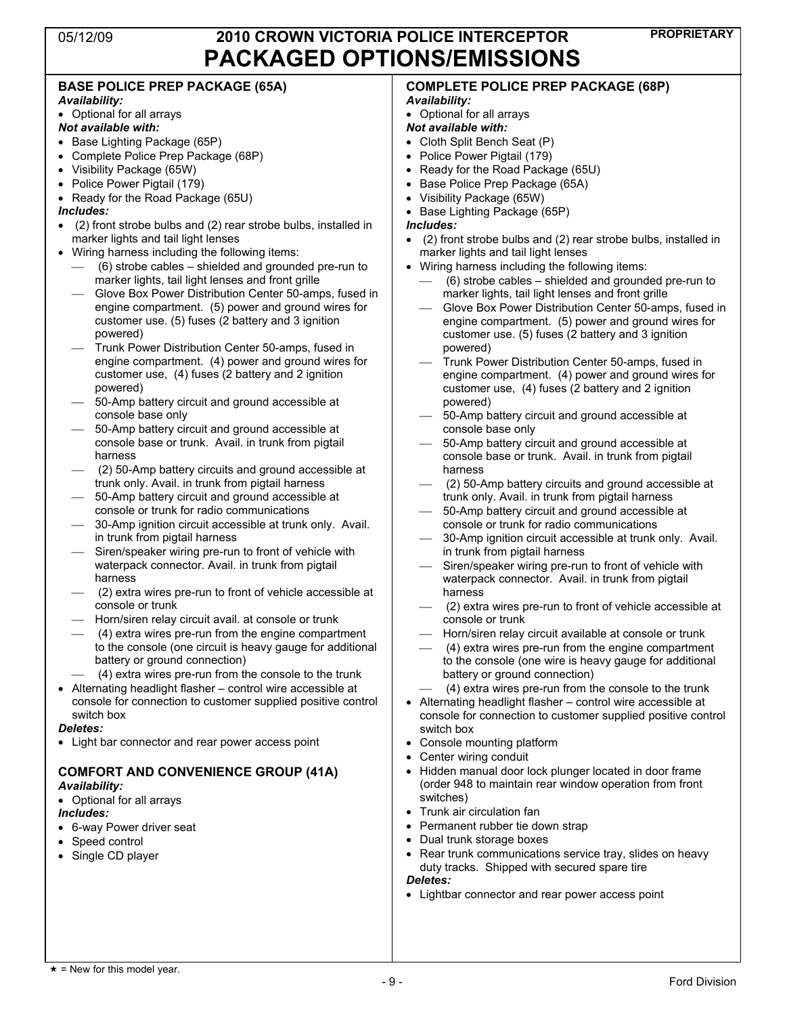| <b>BASE POLICE PREP PACKAGE (65A)</b>                                                                                                  | <b>COMPLETE POLICE PREP PACKAGE (68P)</b>                                                                |
|----------------------------------------------------------------------------------------------------------------------------------------|----------------------------------------------------------------------------------------------------------|
| Availability:                                                                                                                          | Availability:                                                                                            |
| • Optional for all arrays                                                                                                              | • Optional for all arrays                                                                                |
| Not available with:                                                                                                                    | Not available with:                                                                                      |
| • Base Lighting Package (65P)                                                                                                          | • Cloth Split Bench Seat (P)                                                                             |
| • Complete Police Prep Package (68P)                                                                                                   | • Police Power Pigtail (179)                                                                             |
| • Visibility Package (65W)                                                                                                             | • Ready for the Road Package (65U)                                                                       |
| • Police Power Pigtail (179)                                                                                                           | • Base Police Prep Package (65A)                                                                         |
| • Ready for the Road Package (65U)                                                                                                     | • Visibility Package (65W)                                                                               |
| Includes:                                                                                                                              | • Base Lighting Package (65P)                                                                            |
| • (2) front strobe bulbs and (2) rear strobe bulbs, installed in<br>marker lights and tail light lenses                                | Includes:                                                                                                |
| • Wiring harness including the following items:                                                                                        | • (2) front strobe bulbs and (2) rear strobe bulbs, installed in<br>marker lights and tail light lenses  |
| (6) strobe cables – shielded and grounded pre-run to                                                                                   | • Wiring harness including the following items:                                                          |
| marker lights, tail light lenses and front grille                                                                                      | (6) strobe cables – shielded and grounded pre-run to                                                     |
| Glove Box Power Distribution Center 50-amps, fused in                                                                                  | marker lights, tail light lenses and front grille                                                        |
| engine compartment. (5) power and ground wires for                                                                                     | Glove Box Power Distribution Center 50-amps, fused in                                                    |
| customer use. (5) fuses (2 battery and 3 ignition                                                                                      | engine compartment. (5) power and ground wires for                                                       |
| powered)                                                                                                                               | customer use. (5) fuses (2 battery and 3 ignition                                                        |
| Trunk Power Distribution Center 50-amps, fused in                                                                                      | powered)                                                                                                 |
| engine compartment. (4) power and ground wires for                                                                                     | Trunk Power Distribution Center 50-amps, fused in                                                        |
| customer use, (4) fuses (2 battery and 2 ignition                                                                                      | engine compartment. (4) power and ground wires for                                                       |
| powered)                                                                                                                               | customer use, (4) fuses (2 battery and 2 ignition                                                        |
| 50-Amp battery circuit and ground accessible at                                                                                        | powered)                                                                                                 |
| console base only                                                                                                                      | 50-Amp battery circuit and ground accessible at                                                          |
| 50-Amp battery circuit and ground accessible at                                                                                        | console base only                                                                                        |
| console base or trunk. Avail. in trunk from pigtail                                                                                    | 50-Amp battery circuit and ground accessible at                                                          |
| harness                                                                                                                                | console base or trunk. Avail. in trunk from pigtail                                                      |
| (2) 50-Amp battery circuits and ground accessible at                                                                                   | harness                                                                                                  |
| trunk only. Avail. in trunk from pigtail harness<br>50-Amp battery circuit and ground accessible at<br>$\hspace{0.1mm}-\hspace{0.1mm}$ | (2) 50-Amp battery circuits and ground accessible at<br>trunk only. Avail. in trunk from pigtail harness |
| console or trunk for radio communications                                                                                              | 50-Amp battery circuit and ground accessible at                                                          |
| 30-Amp ignition circuit accessible at trunk only. Avail.                                                                               | console or trunk for radio communications                                                                |
| in trunk from pigtail harness                                                                                                          | 30-Amp ignition circuit accessible at trunk only. Avail.                                                 |
| Siren/speaker wiring pre-run to front of vehicle with                                                                                  | in trunk from pigtail harness                                                                            |
| waterpack connector. Avail. in trunk from pigtail                                                                                      | Siren/speaker wiring pre-run to front of vehicle with                                                    |
| harness                                                                                                                                | waterpack connector. Avail. in trunk from pigtail                                                        |
| (2) extra wires pre-run to front of vehicle accessible at                                                                              | harness                                                                                                  |
| console or trunk                                                                                                                       | (2) extra wires pre-run to front of vehicle accessible at                                                |
| Horn/siren relay circuit avail. at console or trunk                                                                                    | console or trunk                                                                                         |
| (4) extra wires pre-run from the engine compartment                                                                                    | Horn/siren relay circuit available at console or trunk                                                   |
| to the console (one circuit is heavy gauge for additional                                                                              | (4) extra wires pre-run from the engine compartment                                                      |
| battery or ground connection)                                                                                                          | to the console (one wire is heavy gauge for additional                                                   |
| (4) extra wires pre-run from the console to the trunk                                                                                  | battery or ground connection)                                                                            |
| • Alternating headlight flasher - control wire accessible at                                                                           | (4) extra wires pre-run from the console to the trunk                                                    |
| console for connection to customer supplied positive control                                                                           | • Alternating headlight flasher - control wire accessible at                                             |
| switch box<br><b>Deletes:</b>                                                                                                          | console for connection to customer supplied positive control                                             |
| • Light bar connector and rear power access point                                                                                      | switch box                                                                                               |
|                                                                                                                                        | • Console mounting platform                                                                              |
|                                                                                                                                        | Center wiring conduit<br>• Hidden manual door lock plunger located in door frame                         |
| <b>COMFORT AND CONVENIENCE GROUP (41A)</b>                                                                                             | (order 948 to maintain rear window operation from front                                                  |
| Availability:                                                                                                                          | switches)                                                                                                |
| • Optional for all arrays<br>Includes:                                                                                                 | • Trunk air circulation fan                                                                              |
| • 6-way Power driver seat                                                                                                              | Permanent rubber tie down strap                                                                          |
| Speed control                                                                                                                          | • Dual trunk storage boxes                                                                               |
| Single CD player                                                                                                                       | • Rear trunk communications service tray, slides on heavy                                                |
|                                                                                                                                        | duty tracks. Shipped with secured spare tire                                                             |
|                                                                                                                                        | <b>Deletes:</b>                                                                                          |
|                                                                                                                                        | • Lightbar connector and rear power access point                                                         |
|                                                                                                                                        |                                                                                                          |
|                                                                                                                                        |                                                                                                          |
|                                                                                                                                        |                                                                                                          |
|                                                                                                                                        |                                                                                                          |
|                                                                                                                                        |                                                                                                          |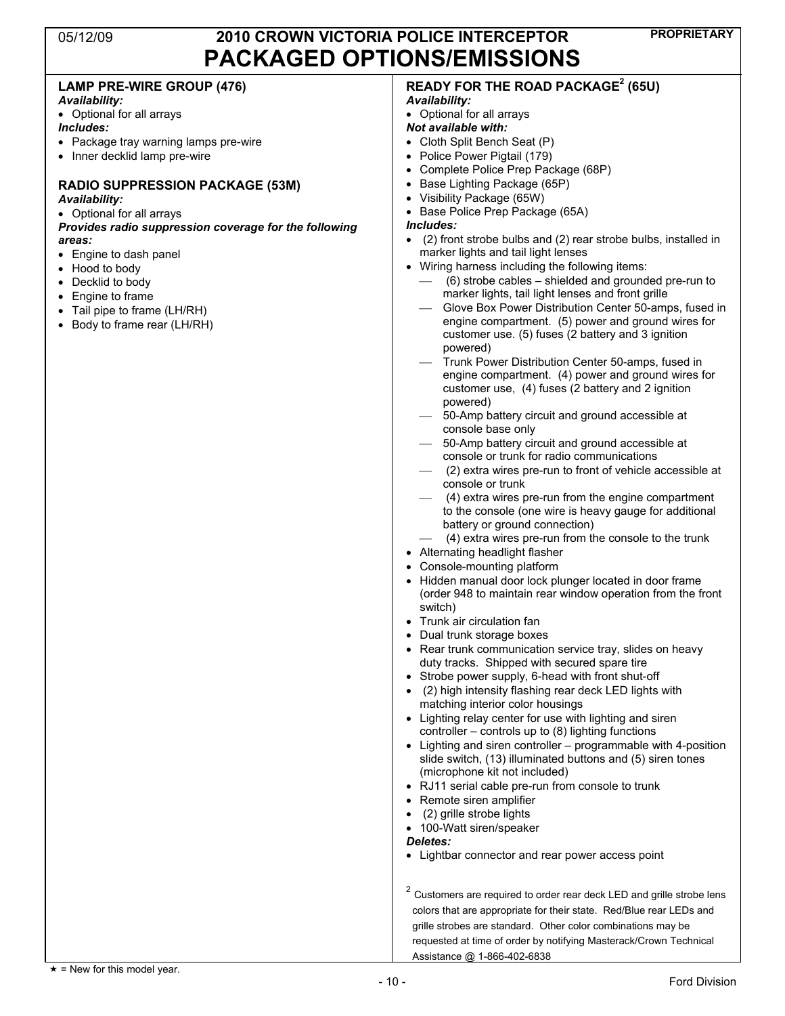| <b>LAMP PRE-WIRE GROUP (476)</b><br>Availability:     | <b>READY FOR THE ROAD PACKAGE<sup>2</sup> (65U)</b><br>Availability:                                                 |
|-------------------------------------------------------|----------------------------------------------------------------------------------------------------------------------|
| • Optional for all arrays                             | • Optional for all arrays                                                                                            |
| <i><b>Includes:</b></i>                               | Not available with:                                                                                                  |
| • Package tray warning lamps pre-wire                 | • Cloth Split Bench Seat (P)                                                                                         |
| • Inner decklid lamp pre-wire                         | Police Power Pigtail (179)                                                                                           |
|                                                       | Complete Police Prep Package (68P)                                                                                   |
| <b>RADIO SUPPRESSION PACKAGE (53M)</b>                | Base Lighting Package (65P)                                                                                          |
| Availability:                                         | • Visibility Package (65W)                                                                                           |
| • Optional for all arrays                             | Base Police Prep Package (65A)                                                                                       |
| Provides radio suppression coverage for the following | Includes:                                                                                                            |
| areas:                                                | (2) front strobe bulbs and (2) rear strobe bulbs, installed in<br>$\bullet$                                          |
| • Engine to dash panel                                | marker lights and tail light lenses                                                                                  |
| • Hood to body                                        | • Wiring harness including the following items:                                                                      |
| Decklid to body                                       | (6) strobe cables – shielded and grounded pre-run to                                                                 |
| Engine to frame                                       | marker lights, tail light lenses and front grille<br>Glove Box Power Distribution Center 50-amps, fused in           |
| Tail pipe to frame (LH/RH)                            | engine compartment. (5) power and ground wires for                                                                   |
| • Body to frame rear (LH/RH)                          | customer use. (5) fuses (2 battery and 3 ignition                                                                    |
|                                                       | powered)                                                                                                             |
|                                                       | Trunk Power Distribution Center 50-amps, fused in                                                                    |
|                                                       | engine compartment. (4) power and ground wires for                                                                   |
|                                                       | customer use, (4) fuses (2 battery and 2 ignition                                                                    |
|                                                       | powered)                                                                                                             |
|                                                       | 50-Amp battery circuit and ground accessible at                                                                      |
|                                                       | console base only                                                                                                    |
|                                                       | 50-Amp battery circuit and ground accessible at<br>console or trunk for radio communications                         |
|                                                       | (2) extra wires pre-run to front of vehicle accessible at                                                            |
|                                                       | console or trunk                                                                                                     |
|                                                       | (4) extra wires pre-run from the engine compartment                                                                  |
|                                                       | to the console (one wire is heavy gauge for additional                                                               |
|                                                       | battery or ground connection)                                                                                        |
|                                                       | (4) extra wires pre-run from the console to the trunk                                                                |
|                                                       | • Alternating headlight flasher                                                                                      |
|                                                       | Console-mounting platform                                                                                            |
|                                                       | Hidden manual door lock plunger located in door frame                                                                |
|                                                       | (order 948 to maintain rear window operation from the front<br>switch)                                               |
|                                                       | • Trunk air circulation fan                                                                                          |
|                                                       | Dual trunk storage boxes                                                                                             |
|                                                       | • Rear trunk communication service tray, slides on heavy                                                             |
|                                                       | duty tracks. Shipped with secured spare tire                                                                         |
|                                                       | • Strobe power supply, 6-head with front shut-off                                                                    |
|                                                       | (2) high intensity flashing rear deck LED lights with                                                                |
|                                                       | matching interior color housings                                                                                     |
|                                                       | • Lighting relay center for use with lighting and siren                                                              |
|                                                       | controller - controls up to (8) lighting functions<br>• Lighting and siren controller – programmable with 4-position |
|                                                       | slide switch, (13) illuminated buttons and (5) siren tones                                                           |
|                                                       | (microphone kit not included)                                                                                        |
|                                                       | • RJ11 serial cable pre-run from console to trunk                                                                    |
|                                                       | • Remote siren amplifier                                                                                             |
|                                                       | (2) grille strobe lights                                                                                             |
|                                                       | • 100-Watt siren/speaker                                                                                             |
|                                                       | Deletes:                                                                                                             |
|                                                       | • Lightbar connector and rear power access point                                                                     |
|                                                       | $2$ Customers are required to order rear deck LED and grille strobe lens                                             |
|                                                       | colors that are appropriate for their state. Red/Blue rear LEDs and                                                  |
|                                                       | grille strobes are standard. Other color combinations may be                                                         |
|                                                       | requested at time of order by notifying Masterack/Crown Technical                                                    |
|                                                       |                                                                                                                      |

Assistance @ 1-866-402-6838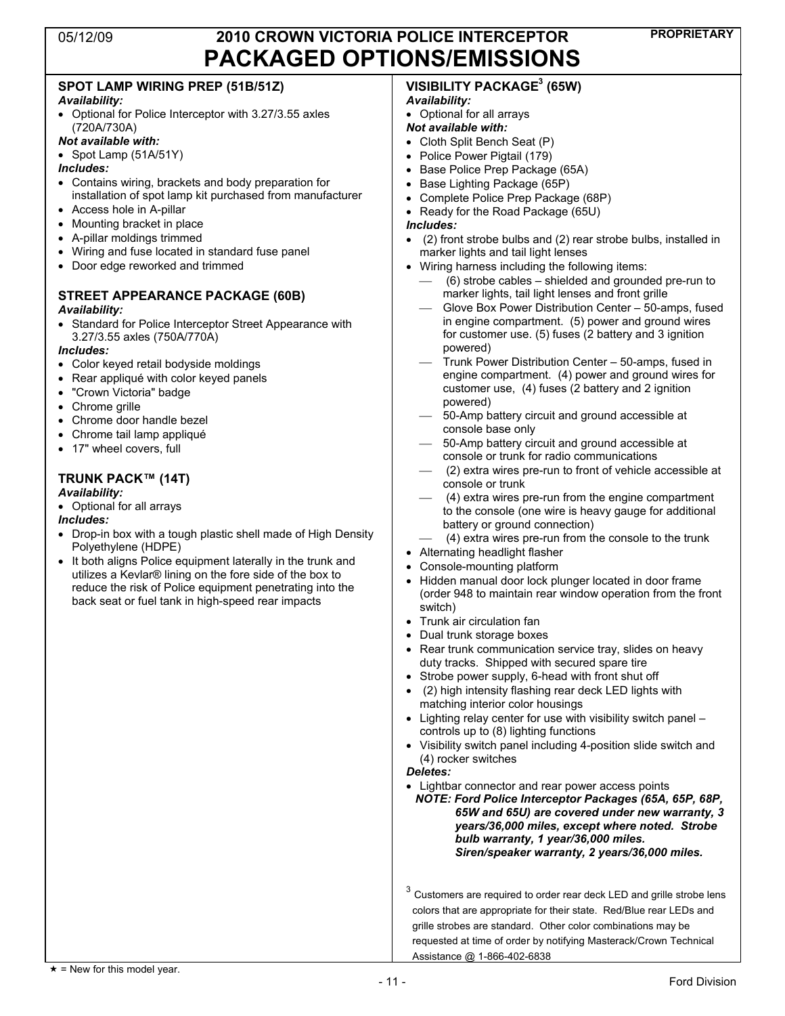### **SPOT LAMP WIRING PREP (51B/51Z)**

### *Availability:*

- Optional for Police Interceptor with 3.27/3.55 axles (720A/730A)
- *Not available with:*
- Spot Lamp (51A/51Y)
- *Includes:*
- Contains wiring, brackets and body preparation for installation of spot lamp kit purchased from manufacturer
- Access hole in A-pillar
- Mounting bracket in place
- ! A-pillar moldings trimmed
- Wiring and fuse located in standard fuse panel
- Door edge reworked and trimmed

#### **STREET APPEARANCE PACKAGE (60B)**  *Availability:*

- ! Standard for Police Interceptor Street Appearance with 3.27/3.55 axles (750A/770A)
- *Includes:*
- Color keyed retail bodyside moldings
- Rear appliqué with color keyed panels
- "Crown Victoria" badge
- Chrome grille
- Chrome door handle bezel
- Chrome tail lamp appliqué
- 17" wheel covers, full

### **TRUNK PACK™ (14T)**

#### *Availability:*

• Optional for all arrays

#### *Includes:*

- Drop-in box with a tough plastic shell made of High Density Polyethylene (HDPE)
- It both aligns Police equipment laterally in the trunk and utilizes a Kevlar® lining on the fore side of the box to reduce the risk of Police equipment penetrating into the back seat or fuel tank in high-speed rear impacts

#### **VISIBILITY PACKAGE3 (65W)**  *Availability:*

• Optional for all arrays

#### *Not available with:*

- Cloth Split Bench Seat (P)
- Police Power Pigtail (179)
- Base Police Prep Package (65A)
- Base Lighting Package (65P)
- ! Complete Police Prep Package (68P)
- Ready for the Road Package (65U)
- *Includes:*
- ! (2) front strobe bulbs and (2) rear strobe bulbs, installed in marker lights and tail light lenses
- . Wiring harness including the following items:
	- $(6)$  strobe cables shielded and grounded pre-run to marker lights, tail light lenses and front grille
	- Glove Box Power Distribution Center 50-amps, fused in engine compartment. (5) power and ground wires for customer use. (5) fuses (2 battery and 3 ignition powered)
	- Trunk Power Distribution Center 50-amps, fused in engine compartment. (4) power and ground wires for customer use, (4) fuses (2 battery and 2 ignition powered)
	- 50-Amp battery circuit and ground accessible at console base only
	- 50-Amp battery circuit and ground accessible at console or trunk for radio communications
	- (2) extra wires pre-run to front of vehicle accessible at console or trunk
	- $(4)$  extra wires pre-run from the engine compartment to the console (one wire is heavy gauge for additional battery or ground connection)
	- $(4)$  extra wires pre-run from the console to the trunk
- Alternating headlight flasher
- Console-mounting platform
- Hidden manual door lock plunger located in door frame (order 948 to maintain rear window operation from the front switch)
- Trunk air circulation fan
- Dual trunk storage boxes
- Rear trunk communication service tray, slides on heavy duty tracks. Shipped with secured spare tire
- Strobe power supply, 6-head with front shut off
- ! (2) high intensity flashing rear deck LED lights with matching interior color housings
- Lighting relay center for use with visibility switch panel  $$ controls up to (8) lighting functions
- ! Visibility switch panel including 4-position slide switch and (4) rocker switches

#### *Deletes:*

- Lightbar connector and rear power access points
	- *NOTE: Ford Police Interceptor Packages (65A, 65P, 68P, 65W and 65U) are covered under new warranty, 3 years/36,000 miles, except where noted. Strobe bulb warranty, 1 year/36,000 miles. Siren/speaker warranty, 2 years/36,000 miles.*

 $3$  Customers are required to order rear deck LED and grille strobe lens colors that are appropriate for their state. Red/Blue rear LEDs and grille strobes are standard. Other color combinations may be requested at time of order by notifying Masterack/Crown Technical Assistance @ 1-866-402-6838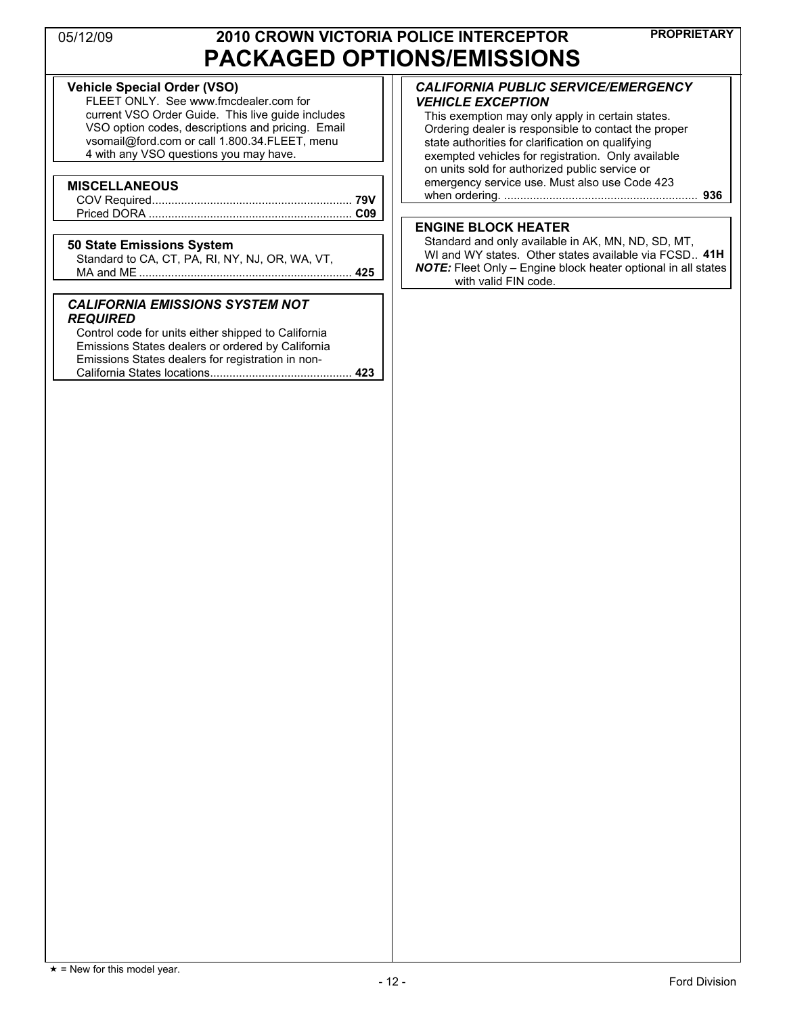### **Vehicle Special Order (VSO)**

FLEET ONLY. See www.fmcdealer.com for current VSO Order Guide. This live guide includes VSO option codes, descriptions and pricing. Email vsomail@ford.com or call 1.800.34.FLEET, menu 4 with any VSO questions you may have.

#### **MISCELLANEOUS**

### **50 State Emissions System**

Standard to CA, CT, PA, RI, NY, NJ, OR, WA, VT, MA and ME .................................................................. **425** 

#### *CALIFORNIA EMISSIONS SYSTEM NOT REQUIRED*

Control code for units either shipped to California Emissions States dealers or ordered by California Emissions States dealers for registration in non-California States locations............................................ **423** 

#### *CALIFORNIA PUBLIC SERVICE/EMERGENCY VEHICLE EXCEPTION*

This exemption may only apply in certain states. Ordering dealer is responsible to contact the proper state authorities for clarification on qualifying exempted vehicles for registration. Only available on units sold for authorized public service or emergency service use. Must also use Code 423 when ordering. ............................................................ **936** 

#### **ENGINE BLOCK HEATER**

Standard and only available in AK, MN, ND, SD, MT, WI and WY states. Other states available via FCSD.. **41H** *NOTE:* Fleet Only – Engine block heater optional in all states with valid FIN code.